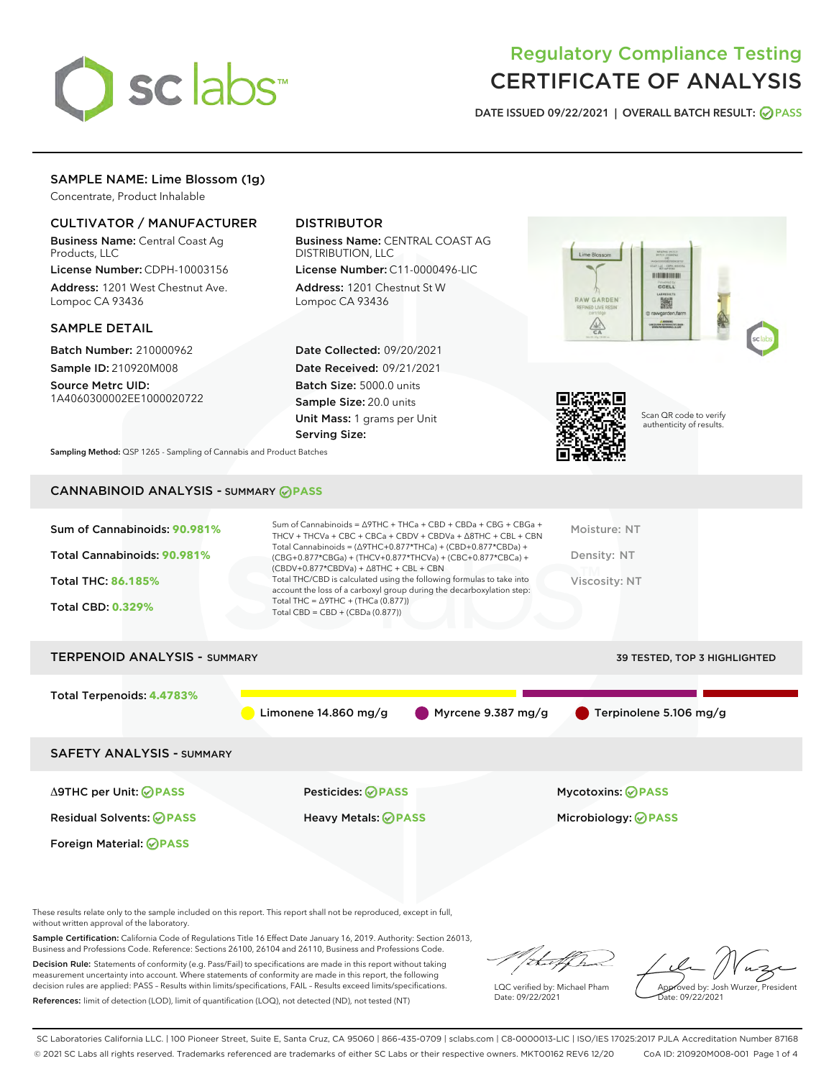

# Regulatory Compliance Testing CERTIFICATE OF ANALYSIS

DATE ISSUED 09/22/2021 | OVERALL BATCH RESULT: @ PASS

## SAMPLE NAME: Lime Blossom (1g)

Concentrate, Product Inhalable

## CULTIVATOR / MANUFACTURER

Business Name: Central Coast Ag Products, LLC

License Number: CDPH-10003156 Address: 1201 West Chestnut Ave. Lompoc CA 93436

## SAMPLE DETAIL

Batch Number: 210000962 Sample ID: 210920M008

Source Metrc UID: 1A4060300002EE1000020722

## DISTRIBUTOR

Business Name: CENTRAL COAST AG DISTRIBUTION, LLC

License Number: C11-0000496-LIC Address: 1201 Chestnut St W Lompoc CA 93436

Date Collected: 09/20/2021 Date Received: 09/21/2021 Batch Size: 5000.0 units Sample Size: 20.0 units Unit Mass: 1 grams per Unit Serving Size:





Scan QR code to verify authenticity of results.

Sampling Method: QSP 1265 - Sampling of Cannabis and Product Batches

## CANNABINOID ANALYSIS - SUMMARY **PASS**

| Sum of Cannabinoids: 90.981%<br>Total Cannabinoids: 90.981%<br><b>Total THC: 86.185%</b><br><b>Total CBD: 0.329%</b> | Sum of Cannabinoids = $\triangle$ 9THC + THCa + CBD + CBDa + CBG + CBGa +<br>THCV + THCVa + CBC + CBCa + CBDV + CBDVa + $\land$ 8THC + CBL + CBN<br>Total Cannabinoids = $(\Delta$ 9THC+0.877*THCa) + (CBD+0.877*CBDa) +<br>(CBG+0.877*CBGa) + (THCV+0.877*THCVa) + (CBC+0.877*CBCa) +<br>$(CBDV+0.877*CBDVa) + \Delta 8THC + CBL + CBN$<br>Total THC/CBD is calculated using the following formulas to take into<br>account the loss of a carboxyl group during the decarboxylation step:<br>Total THC = $\triangle$ 9THC + (THCa (0.877))<br>Total CBD = $CBD + (CBDa (0.877))$ | Moisture: NT<br>Density: NT<br>Viscosity: NT |
|----------------------------------------------------------------------------------------------------------------------|-----------------------------------------------------------------------------------------------------------------------------------------------------------------------------------------------------------------------------------------------------------------------------------------------------------------------------------------------------------------------------------------------------------------------------------------------------------------------------------------------------------------------------------------------------------------------------------|----------------------------------------------|
| <b>TERPENOID ANALYSIS - SUMMARY</b>                                                                                  |                                                                                                                                                                                                                                                                                                                                                                                                                                                                                                                                                                                   | <b>39 TESTED, TOP 3 HIGHLIGHTED</b>          |
| Total Terpenoids: 4.4783%                                                                                            | Myrcene 9.387 mg/g<br>Limonene $14.860$ mg/g                                                                                                                                                                                                                                                                                                                                                                                                                                                                                                                                      | Terpinolene 5.106 mg/g                       |
| <b>SAFETY ANALYSIS - SUMMARY</b>                                                                                     |                                                                                                                                                                                                                                                                                                                                                                                                                                                                                                                                                                                   |                                              |
| ∆9THC per Unit: ⊘PASS                                                                                                | Pesticides: ⊘PASS                                                                                                                                                                                                                                                                                                                                                                                                                                                                                                                                                                 | Mycotoxins: ⊘PASS                            |

Residual Solvents: **PASS** Heavy Metals: **PASS** Microbiology: **PASS**

Foreign Material: **PASS**

These results relate only to the sample included on this report. This report shall not be reproduced, except in full, without written approval of the laboratory.

Sample Certification: California Code of Regulations Title 16 Effect Date January 16, 2019. Authority: Section 26013, Business and Professions Code. Reference: Sections 26100, 26104 and 26110, Business and Professions Code.

Decision Rule: Statements of conformity (e.g. Pass/Fail) to specifications are made in this report without taking measurement uncertainty into account. Where statements of conformity are made in this report, the following decision rules are applied: PASS – Results within limits/specifications, FAIL – Results exceed limits/specifications. References: limit of detection (LOD), limit of quantification (LOQ), not detected (ND), not tested (NT)

that for

LQC verified by: Michael Pham Date: 09/22/2021

Approved by: Josh Wurzer, President ate: 09/22/2021

SC Laboratories California LLC. | 100 Pioneer Street, Suite E, Santa Cruz, CA 95060 | 866-435-0709 | sclabs.com | C8-0000013-LIC | ISO/IES 17025:2017 PJLA Accreditation Number 87168 © 2021 SC Labs all rights reserved. Trademarks referenced are trademarks of either SC Labs or their respective owners. MKT00162 REV6 12/20 CoA ID: 210920M008-001 Page 1 of 4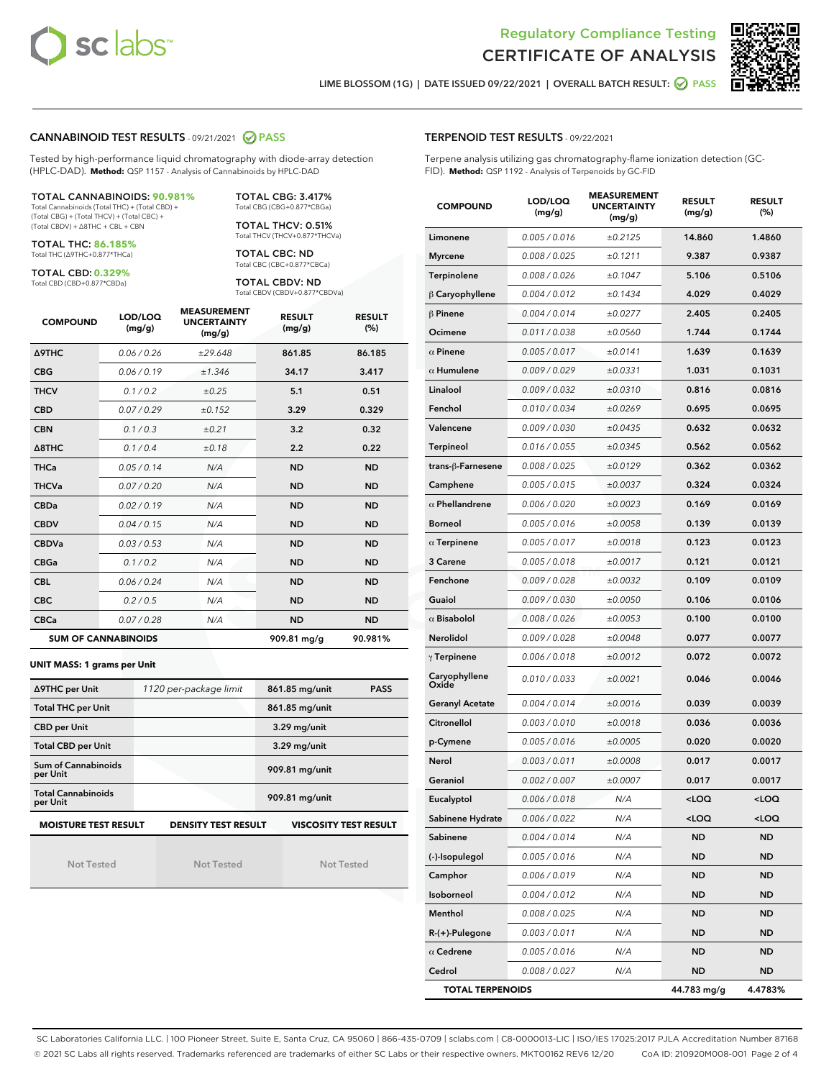



LIME BLOSSOM (1G) | DATE ISSUED 09/22/2021 | OVERALL BATCH RESULT: ☑ PASS

### CANNABINOID TEST RESULTS - 09/21/2021 @ PASS

Tested by high-performance liquid chromatography with diode-array detection (HPLC-DAD). **Method:** QSP 1157 - Analysis of Cannabinoids by HPLC-DAD

#### TOTAL CANNABINOIDS: **90.981%**

Total Cannabinoids (Total THC) + (Total CBD) + (Total CBG) + (Total THCV) + (Total CBC) + (Total CBDV) + ∆8THC + CBL + CBN

TOTAL THC: **86.185%** Total THC (∆9THC+0.877\*THCa)

TOTAL CBD: **0.329%**

Total CBD (CBD+0.877\*CBDa)

TOTAL CBG: 3.417% Total CBG (CBG+0.877\*CBGa)

TOTAL THCV: 0.51% Total THCV (THCV+0.877\*THCVa)

TOTAL CBC: ND Total CBC (CBC+0.877\*CBCa)

TOTAL CBDV: ND Total CBDV (CBDV+0.877\*CBDVa)

| <b>COMPOUND</b>            | LOD/LOQ<br>(mg/g) | <b>MEASUREMENT</b><br><b>UNCERTAINTY</b><br>(mg/g) | <b>RESULT</b><br>(mg/g) | <b>RESULT</b><br>(%) |
|----------------------------|-------------------|----------------------------------------------------|-------------------------|----------------------|
| Δ9THC                      | 0.06 / 0.26       | ±29.648                                            | 861.85                  | 86.185               |
| <b>CBG</b>                 | 0.06/0.19         | ±1.346                                             | 34.17                   | 3.417                |
| <b>THCV</b>                | 0.1 / 0.2         | ±0.25                                              | 5.1                     | 0.51                 |
| <b>CBD</b>                 | 0.07/0.29         | ±0.152                                             | 3.29                    | 0.329                |
| <b>CBN</b>                 | 0.1/0.3           | ±0.21                                              | 3.2                     | 0.32                 |
| $\triangle$ 8THC           | 0.1/0.4           | ±0.18                                              | 2.2                     | 0.22                 |
| <b>THCa</b>                | 0.05/0.14         | N/A                                                | <b>ND</b>               | <b>ND</b>            |
| <b>THCVa</b>               | 0.07 / 0.20       | N/A                                                | <b>ND</b>               | <b>ND</b>            |
| <b>CBDa</b>                | 0.02/0.19         | N/A                                                | <b>ND</b>               | <b>ND</b>            |
| <b>CBDV</b>                | 0.04 / 0.15       | N/A                                                | <b>ND</b>               | <b>ND</b>            |
| <b>CBDVa</b>               | 0.03 / 0.53       | N/A                                                | <b>ND</b>               | <b>ND</b>            |
| <b>CBGa</b>                | 0.1/0.2           | N/A                                                | <b>ND</b>               | <b>ND</b>            |
| <b>CBL</b>                 | 0.06 / 0.24       | N/A                                                | <b>ND</b>               | <b>ND</b>            |
| <b>CBC</b>                 | 0.2 / 0.5         | N/A                                                | <b>ND</b>               | <b>ND</b>            |
| <b>CBCa</b>                | 0.07 / 0.28       | N/A                                                | <b>ND</b>               | <b>ND</b>            |
| <b>SUM OF CANNABINOIDS</b> |                   |                                                    | 909.81 mg/g             | 90.981%              |

#### **UNIT MASS: 1 grams per Unit**

| ∆9THC per Unit                                                                            | 1120 per-package limit | 861.85 mg/unit<br><b>PASS</b> |  |  |
|-------------------------------------------------------------------------------------------|------------------------|-------------------------------|--|--|
| <b>Total THC per Unit</b>                                                                 |                        | 861.85 mg/unit                |  |  |
| <b>CBD per Unit</b>                                                                       |                        | $3.29$ mg/unit                |  |  |
| <b>Total CBD per Unit</b>                                                                 |                        | 3.29 mg/unit                  |  |  |
| Sum of Cannabinoids<br>per Unit                                                           |                        | 909.81 mg/unit                |  |  |
| <b>Total Cannabinoids</b><br>per Unit                                                     |                        | 909.81 mg/unit                |  |  |
| <b>MOISTURE TEST RESULT</b><br><b>VISCOSITY TEST RESULT</b><br><b>DENSITY TEST RESULT</b> |                        |                               |  |  |

Not Tested

Not Tested

Not Tested

TERPENOID TEST RESULTS - 09/22/2021

Terpene analysis utilizing gas chromatography-flame ionization detection (GC-FID). **Method:** QSP 1192 - Analysis of Terpenoids by GC-FID

| <b>COMPOUND</b>         | LOD/LOQ<br>(mg/g) | <b>MEASUREMENT</b><br><b>UNCERTAINTY</b><br>(mg/g) | <b>RESULT</b><br>(mg/g)                          | <b>RESULT</b><br>(%) |
|-------------------------|-------------------|----------------------------------------------------|--------------------------------------------------|----------------------|
| Limonene                | 0.005 / 0.016     | ±0.2125                                            | 14.860                                           | 1.4860               |
| <b>Myrcene</b>          | 0.008 / 0.025     | ±0.1211                                            | 9.387                                            | 0.9387               |
| Terpinolene             | 0.008 / 0.026     | ±0.1047                                            | 5.106                                            | 0.5106               |
| $\beta$ Caryophyllene   | 0.004 / 0.012     | ±0.1434                                            | 4.029                                            | 0.4029               |
| $\beta$ Pinene          | 0.004 / 0.014     | ±0.0277                                            | 2.405                                            | 0.2405               |
| Ocimene                 | 0.011 / 0.038     | ±0.0560                                            | 1.744                                            | 0.1744               |
| $\alpha$ Pinene         | 0.005 / 0.017     | ±0.0141                                            | 1.639                                            | 0.1639               |
| $\alpha$ Humulene       | 0.009 / 0.029     | ±0.0331                                            | 1.031                                            | 0.1031               |
| Linalool                | 0.009 / 0.032     | ±0.0310                                            | 0.816                                            | 0.0816               |
| Fenchol                 | 0.010 / 0.034     | ±0.0269                                            | 0.695                                            | 0.0695               |
| Valencene               | 0.009 / 0.030     | ±0.0435                                            | 0.632                                            | 0.0632               |
| Terpineol               | 0.016 / 0.055     | ±0.0345                                            | 0.562                                            | 0.0562               |
| trans-ß-Farnesene       | 0.008 / 0.025     | ±0.0129                                            | 0.362                                            | 0.0362               |
| Camphene                | 0.005 / 0.015     | ±0.0037                                            | 0.324                                            | 0.0324               |
| $\alpha$ Phellandrene   | 0.006 / 0.020     | ±0.0023                                            | 0.169                                            | 0.0169               |
| <b>Borneol</b>          | 0.005 / 0.016     | ±0.0058                                            | 0.139                                            | 0.0139               |
| $\alpha$ Terpinene      | 0.005 / 0.017     | ±0.0018                                            | 0.123                                            | 0.0123               |
| 3 Carene                | 0.005 / 0.018     | ±0.0017                                            | 0.121                                            | 0.0121               |
| Fenchone                | 0.009/0.028       | ±0.0032                                            | 0.109                                            | 0.0109               |
| Guaiol                  | 0.009 / 0.030     | ±0.0050                                            | 0.106                                            | 0.0106               |
| $\alpha$ Bisabolol      | 0.008 / 0.026     | ±0.0053                                            | 0.100                                            | 0.0100               |
| Nerolidol               | 0.009 / 0.028     | ±0.0048                                            | 0.077                                            | 0.0077               |
| $\gamma$ Terpinene      | 0.006 / 0.018     | ±0.0012                                            | 0.072                                            | 0.0072               |
| Caryophyllene<br>Oxide  | 0.010 / 0.033     | ±0.0021                                            | 0.046                                            | 0.0046               |
| <b>Geranyl Acetate</b>  | 0.004 / 0.014     | ±0.0016                                            | 0.039                                            | 0.0039               |
| Citronellol             | 0.003/0.010       | ±0.0018                                            | 0.036                                            | 0.0036               |
| p-Cymene                | 0.005 / 0.016     | ±0.0005                                            | 0.020                                            | 0.0020               |
| Nerol                   | 0.003 / 0.011     | ±0.0008                                            | 0.017                                            | 0.0017               |
| Geraniol                | 0.002 / 0.007     | ±0.0007                                            | 0.017                                            | 0.0017               |
| Eucalyptol              | 0.006 / 0.018     | N/A                                                | <loq< th=""><th><math>&lt;</math>LOQ</th></loq<> | $<$ LOQ              |
| Sabinene Hydrate        | 0.006 / 0.022     | N/A                                                | <loq< th=""><th><loq< th=""></loq<></th></loq<>  | <loq< th=""></loq<>  |
| Sabinene                | 0.004 / 0.014     | N/A                                                | ND                                               | ND                   |
| (-)-Isopulegol          | 0.005 / 0.016     | N/A                                                | ND                                               | ND                   |
| Camphor                 | 0.006 / 0.019     | N/A                                                | <b>ND</b>                                        | ND                   |
| Isoborneol              | 0.004 / 0.012     | N/A                                                | <b>ND</b>                                        | ND                   |
| Menthol                 | 0.008 / 0.025     | N/A                                                | ND                                               | ND                   |
| R-(+)-Pulegone          | 0.003 / 0.011     | N/A                                                | <b>ND</b>                                        | ND                   |
| $\alpha$ Cedrene        | 0.005 / 0.016     | N/A                                                | <b>ND</b>                                        | ND                   |
| Cedrol                  | 0.008 / 0.027     | N/A                                                | ND                                               | ND                   |
| <b>TOTAL TERPENOIDS</b> |                   |                                                    | 44.783 mg/g                                      | 4.4783%              |

SC Laboratories California LLC. | 100 Pioneer Street, Suite E, Santa Cruz, CA 95060 | 866-435-0709 | sclabs.com | C8-0000013-LIC | ISO/IES 17025:2017 PJLA Accreditation Number 87168 © 2021 SC Labs all rights reserved. Trademarks referenced are trademarks of either SC Labs or their respective owners. MKT00162 REV6 12/20 CoA ID: 210920M008-001 Page 2 of 4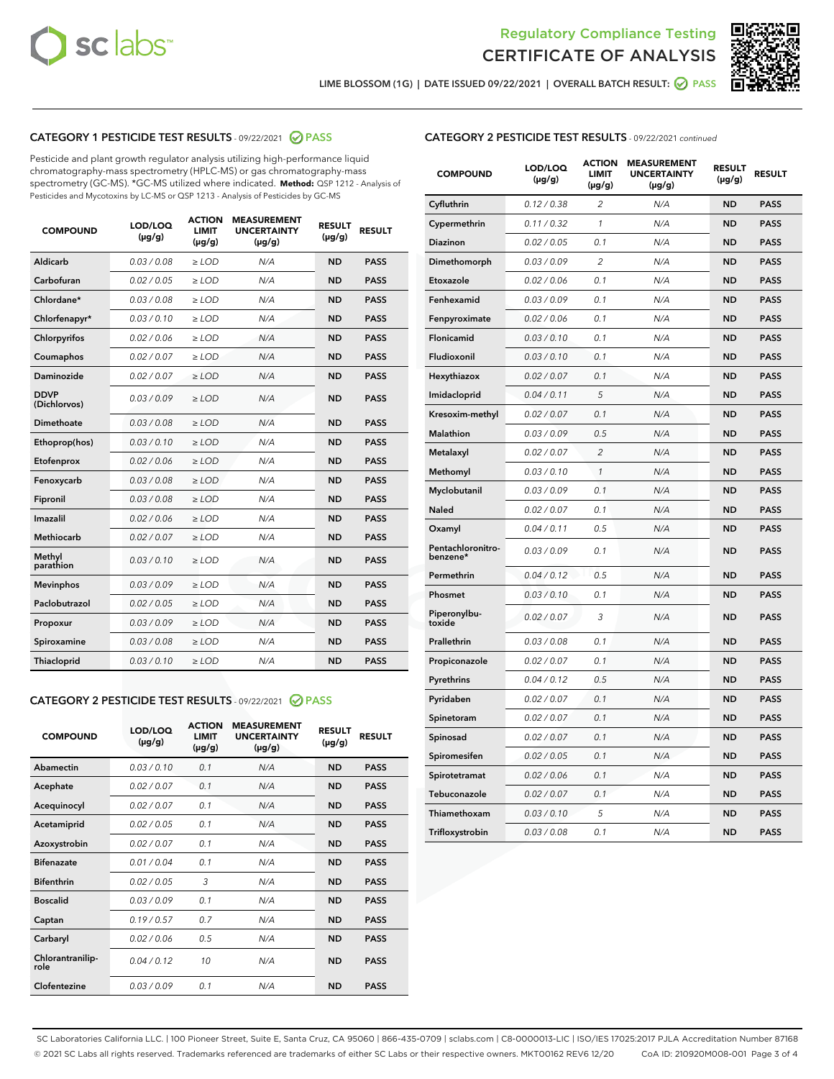



LIME BLOSSOM (1G) | DATE ISSUED 09/22/2021 | OVERALL BATCH RESULT: ● PASS

## CATEGORY 1 PESTICIDE TEST RESULTS - 09/22/2021 2 PASS

Pesticide and plant growth regulator analysis utilizing high-performance liquid chromatography-mass spectrometry (HPLC-MS) or gas chromatography-mass spectrometry (GC-MS). \*GC-MS utilized where indicated. **Method:** QSP 1212 - Analysis of Pesticides and Mycotoxins by LC-MS or QSP 1213 - Analysis of Pesticides by GC-MS

| <b>COMPOUND</b>             | LOD/LOQ<br>$(\mu g/g)$ | <b>ACTION</b><br><b>LIMIT</b><br>$(\mu g/g)$ | <b>MEASUREMENT</b><br><b>UNCERTAINTY</b><br>$(\mu g/g)$ | <b>RESULT</b><br>$(\mu g/g)$ | <b>RESULT</b> |
|-----------------------------|------------------------|----------------------------------------------|---------------------------------------------------------|------------------------------|---------------|
| Aldicarb                    | 0.03 / 0.08            | $\ge$ LOD                                    | N/A                                                     | <b>ND</b>                    | <b>PASS</b>   |
| Carbofuran                  | 0.02/0.05              | $>$ LOD                                      | N/A                                                     | <b>ND</b>                    | <b>PASS</b>   |
| Chlordane*                  | 0.03 / 0.08            | $\ge$ LOD                                    | N/A                                                     | <b>ND</b>                    | <b>PASS</b>   |
| Chlorfenapyr*               | 0.03/0.10              | $>$ LOD                                      | N/A                                                     | <b>ND</b>                    | <b>PASS</b>   |
| Chlorpyrifos                | 0.02 / 0.06            | $\geq$ LOD                                   | N/A                                                     | <b>ND</b>                    | <b>PASS</b>   |
| Coumaphos                   | 0.02 / 0.07            | $\ge$ LOD                                    | N/A                                                     | <b>ND</b>                    | <b>PASS</b>   |
| Daminozide                  | 0.02 / 0.07            | $\ge$ LOD                                    | N/A                                                     | <b>ND</b>                    | <b>PASS</b>   |
| <b>DDVP</b><br>(Dichlorvos) | 0.03/0.09              | $\ge$ LOD                                    | N/A                                                     | <b>ND</b>                    | <b>PASS</b>   |
| Dimethoate                  | 0.03/0.08              | $>$ LOD                                      | N/A                                                     | <b>ND</b>                    | <b>PASS</b>   |
| Ethoprop(hos)               | 0.03/0.10              | $\ge$ LOD                                    | N/A                                                     | <b>ND</b>                    | <b>PASS</b>   |
| Etofenprox                  | 0.02 / 0.06            | $\ge$ LOD                                    | N/A                                                     | <b>ND</b>                    | <b>PASS</b>   |
| Fenoxycarb                  | 0.03 / 0.08            | $\ge$ LOD                                    | N/A                                                     | <b>ND</b>                    | <b>PASS</b>   |
| Fipronil                    | 0.03/0.08              | $>$ LOD                                      | N/A                                                     | <b>ND</b>                    | <b>PASS</b>   |
| Imazalil                    | 0.02 / 0.06            | $\ge$ LOD                                    | N/A                                                     | <b>ND</b>                    | <b>PASS</b>   |
| Methiocarb                  | 0.02 / 0.07            | $\ge$ LOD                                    | N/A                                                     | <b>ND</b>                    | <b>PASS</b>   |
| Methyl<br>parathion         | 0.03/0.10              | $\ge$ LOD                                    | N/A                                                     | <b>ND</b>                    | <b>PASS</b>   |
| <b>Mevinphos</b>            | 0.03/0.09              | $>$ LOD                                      | N/A                                                     | <b>ND</b>                    | <b>PASS</b>   |
| Paclobutrazol               | 0.02 / 0.05            | $\ge$ LOD                                    | N/A                                                     | <b>ND</b>                    | <b>PASS</b>   |
| Propoxur                    | 0.03/0.09              | $\ge$ LOD                                    | N/A                                                     | <b>ND</b>                    | <b>PASS</b>   |
| Spiroxamine                 | 0.03 / 0.08            | $\ge$ LOD                                    | N/A                                                     | <b>ND</b>                    | <b>PASS</b>   |
| Thiacloprid                 | 0.03/0.10              | $\ge$ LOD                                    | N/A                                                     | <b>ND</b>                    | <b>PASS</b>   |

#### CATEGORY 2 PESTICIDE TEST RESULTS - 09/22/2021 @ PASS

| <b>COMPOUND</b>          | LOD/LOQ<br>$(\mu g/g)$ | <b>ACTION</b><br><b>LIMIT</b><br>$(\mu g/g)$ | <b>MEASUREMENT</b><br><b>UNCERTAINTY</b><br>$(\mu g/g)$ | <b>RESULT</b><br>$(\mu g/g)$ | <b>RESULT</b> |
|--------------------------|------------------------|----------------------------------------------|---------------------------------------------------------|------------------------------|---------------|
| Abamectin                | 0.03/0.10              | 0.1                                          | N/A                                                     | <b>ND</b>                    | <b>PASS</b>   |
| Acephate                 | 0.02/0.07              | 0.1                                          | N/A                                                     | <b>ND</b>                    | <b>PASS</b>   |
| Acequinocyl              | 0.02/0.07              | 0.1                                          | N/A                                                     | <b>ND</b>                    | <b>PASS</b>   |
| Acetamiprid              | 0.02/0.05              | 0.1                                          | N/A                                                     | <b>ND</b>                    | <b>PASS</b>   |
| Azoxystrobin             | 0.02/0.07              | 0.1                                          | N/A                                                     | <b>ND</b>                    | <b>PASS</b>   |
| <b>Bifenazate</b>        | 0.01/0.04              | 0.1                                          | N/A                                                     | <b>ND</b>                    | <b>PASS</b>   |
| <b>Bifenthrin</b>        | 0.02 / 0.05            | 3                                            | N/A                                                     | <b>ND</b>                    | <b>PASS</b>   |
| <b>Boscalid</b>          | 0.03/0.09              | 0.1                                          | N/A                                                     | <b>ND</b>                    | <b>PASS</b>   |
| Captan                   | 0.19/0.57              | 0.7                                          | N/A                                                     | <b>ND</b>                    | <b>PASS</b>   |
| Carbaryl                 | 0.02/0.06              | 0.5                                          | N/A                                                     | <b>ND</b>                    | <b>PASS</b>   |
| Chlorantranilip-<br>role | 0.04/0.12              | 10                                           | N/A                                                     | <b>ND</b>                    | <b>PASS</b>   |
| Clofentezine             | 0.03/0.09              | 0.1                                          | N/A                                                     | <b>ND</b>                    | <b>PASS</b>   |

| <b>CATEGORY 2 PESTICIDE TEST RESULTS</b> - 09/22/2021 continued |  |
|-----------------------------------------------------------------|--|
|                                                                 |  |

| <b>COMPOUND</b>               | LOD/LOQ<br>(µg/g) | <b>ACTION</b><br><b>LIMIT</b><br>(µg/g) | <b>MEASUREMENT</b><br><b>UNCERTAINTY</b><br>$(\mu g/g)$ | <b>RESULT</b><br>(µg/g) | <b>RESULT</b> |
|-------------------------------|-------------------|-----------------------------------------|---------------------------------------------------------|-------------------------|---------------|
| Cyfluthrin                    | 0.12 / 0.38       | $\overline{c}$                          | N/A                                                     | <b>ND</b>               | <b>PASS</b>   |
| Cypermethrin                  | 0.11 / 0.32       | $\mathcal{I}$                           | N/A                                                     | <b>ND</b>               | <b>PASS</b>   |
| <b>Diazinon</b>               | 0.02 / 0.05       | 0.1                                     | N/A                                                     | <b>ND</b>               | <b>PASS</b>   |
| Dimethomorph                  | 0.03 / 0.09       | 2                                       | N/A                                                     | <b>ND</b>               | <b>PASS</b>   |
| Etoxazole                     | 0.02 / 0.06       | 0.1                                     | N/A                                                     | <b>ND</b>               | <b>PASS</b>   |
| Fenhexamid                    | 0.03 / 0.09       | 0.1                                     | N/A                                                     | <b>ND</b>               | <b>PASS</b>   |
| Fenpyroximate                 | 0.02 / 0.06       | 0.1                                     | N/A                                                     | <b>ND</b>               | <b>PASS</b>   |
| Flonicamid                    | 0.03 / 0.10       | 0.1                                     | N/A                                                     | <b>ND</b>               | <b>PASS</b>   |
| Fludioxonil                   | 0.03/0.10         | 0.1                                     | N/A                                                     | <b>ND</b>               | <b>PASS</b>   |
| Hexythiazox                   | 0.02 / 0.07       | 0.1                                     | N/A                                                     | <b>ND</b>               | <b>PASS</b>   |
| Imidacloprid                  | 0.04 / 0.11       | 5                                       | N/A                                                     | <b>ND</b>               | <b>PASS</b>   |
| Kresoxim-methyl               | 0.02 / 0.07       | 0.1                                     | N/A                                                     | <b>ND</b>               | <b>PASS</b>   |
| <b>Malathion</b>              | 0.03 / 0.09       | 0.5                                     | N/A                                                     | <b>ND</b>               | <b>PASS</b>   |
| Metalaxyl                     | 0.02 / 0.07       | $\overline{c}$                          | N/A                                                     | <b>ND</b>               | <b>PASS</b>   |
| Methomyl                      | 0.03 / 0.10       | 1                                       | N/A                                                     | <b>ND</b>               | <b>PASS</b>   |
| Myclobutanil                  | 0.03 / 0.09       | 0.1                                     | N/A                                                     | <b>ND</b>               | <b>PASS</b>   |
| Naled                         | 0.02 / 0.07       | 0.1                                     | N/A                                                     | <b>ND</b>               | <b>PASS</b>   |
| Oxamyl                        | 0.04 / 0.11       | 0.5                                     | N/A                                                     | <b>ND</b>               | <b>PASS</b>   |
| Pentachloronitro-<br>benzene* | 0.03 / 0.09       | 0.1                                     | N/A                                                     | <b>ND</b>               | <b>PASS</b>   |
| Permethrin                    | 0.04 / 0.12       | 0.5                                     | N/A                                                     | <b>ND</b>               | <b>PASS</b>   |
| Phosmet                       | 0.03 / 0.10       | 0.1                                     | N/A                                                     | <b>ND</b>               | <b>PASS</b>   |
| Piperonylbu-<br>toxide        | 0.02 / 0.07       | 3                                       | N/A                                                     | <b>ND</b>               | <b>PASS</b>   |
| Prallethrin                   | 0.03 / 0.08       | 0.1                                     | N/A                                                     | <b>ND</b>               | <b>PASS</b>   |
| Propiconazole                 | 0.02 / 0.07       | 0.1                                     | N/A                                                     | <b>ND</b>               | <b>PASS</b>   |
| Pyrethrins                    | 0.04 / 0.12       | 0.5                                     | N/A                                                     | <b>ND</b>               | <b>PASS</b>   |
| Pyridaben                     | 0.02 / 0.07       | 0.1                                     | N/A                                                     | <b>ND</b>               | <b>PASS</b>   |
| Spinetoram                    | 0.02 / 0.07       | 0.1                                     | N/A                                                     | <b>ND</b>               | <b>PASS</b>   |
| Spinosad                      | 0.02 / 0.07       | 0.1                                     | N/A                                                     | <b>ND</b>               | <b>PASS</b>   |
| Spiromesifen                  | 0.02 / 0.05       | 0.1                                     | N/A                                                     | <b>ND</b>               | <b>PASS</b>   |
| Spirotetramat                 | 0.02 / 0.06       | 0.1                                     | N/A                                                     | <b>ND</b>               | <b>PASS</b>   |
| Tebuconazole                  | 0.02 / 0.07       | 0.1                                     | N/A                                                     | <b>ND</b>               | <b>PASS</b>   |
| Thiamethoxam                  | 0.03 / 0.10       | 5                                       | N/A                                                     | <b>ND</b>               | <b>PASS</b>   |
| Trifloxystrobin               | 0.03 / 0.08       | 0.1                                     | N/A                                                     | <b>ND</b>               | <b>PASS</b>   |

SC Laboratories California LLC. | 100 Pioneer Street, Suite E, Santa Cruz, CA 95060 | 866-435-0709 | sclabs.com | C8-0000013-LIC | ISO/IES 17025:2017 PJLA Accreditation Number 87168 © 2021 SC Labs all rights reserved. Trademarks referenced are trademarks of either SC Labs or their respective owners. MKT00162 REV6 12/20 CoA ID: 210920M008-001 Page 3 of 4